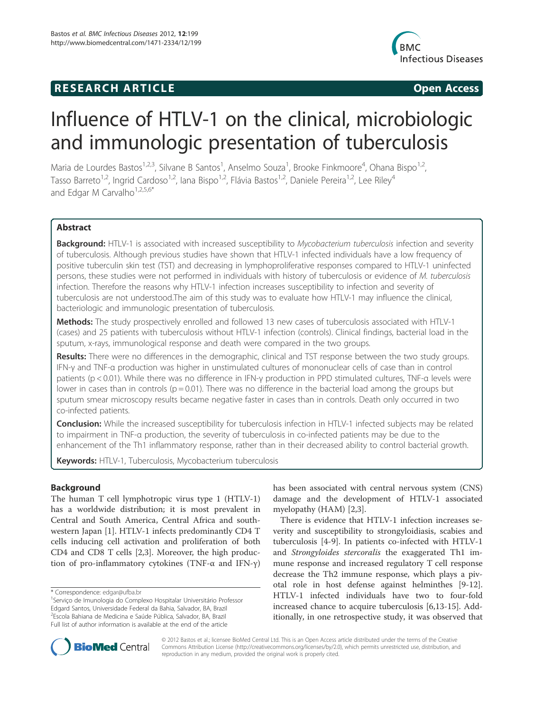## **RESEARCH ARTICLE Example 2018 12:00 Open Access**



# Influence of HTLV-1 on the clinical, microbiologic and immunologic presentation of tuberculosis

Maria de Lourdes Bastos<sup>1,2,3</sup>, Silvane B Santos<sup>1</sup>, Anselmo Souza<sup>1</sup>, Brooke Finkmoore<sup>4</sup>, Ohana Bispo<sup>1,2</sup>, Tasso Barreto<sup>1,2</sup>, Ingrid Cardoso<sup>1,2</sup>, Iana Bispo<sup>1,2</sup>, Flávia Bastos<sup>1,2</sup>, Daniele Pereira<sup>1,2</sup>, Lee Riley<sup>4</sup> and Edgar M Carvalho<sup>1,2,5,6\*</sup>

## Abstract

Background: HTLV-1 is associated with increased susceptibility to Mycobacterium tuberculosis infection and severity of tuberculosis. Although previous studies have shown that HTLV-1 infected individuals have a low frequency of positive tuberculin skin test (TST) and decreasing in lymphoproliferative responses compared to HTLV-1 uninfected persons, these studies were not performed in individuals with history of tuberculosis or evidence of M. tuberculosis infection. Therefore the reasons why HTLV-1 infection increases susceptibility to infection and severity of tuberculosis are not understood.The aim of this study was to evaluate how HTLV-1 may influence the clinical, bacteriologic and immunologic presentation of tuberculosis.

Methods: The study prospectively enrolled and followed 13 new cases of tuberculosis associated with HTLV-1 (cases) and 25 patients with tuberculosis without HTLV-1 infection (controls). Clinical findings, bacterial load in the sputum, x-rays, immunological response and death were compared in the two groups.

Results: There were no differences in the demographic, clinical and TST response between the two study groups. IFN-γ and TNF-α production was higher in unstimulated cultures of mononuclear cells of case than in control patients (p < 0.01). While there was no difference in IFN-γ production in PPD stimulated cultures, TNF-α levels were lower in cases than in controls ( $p = 0.01$ ). There was no difference in the bacterial load among the groups but sputum smear microscopy results became negative faster in cases than in controls. Death only occurred in two co-infected patients.

Conclusion: While the increased susceptibility for tuberculosis infection in HTLV-1 infected subjects may be related to impairment in TNF-α production, the severity of tuberculosis in co-infected patients may be due to the enhancement of the Th1 inflammatory response, rather than in their decreased ability to control bacterial growth.

Keywords: HTLV-1, Tuberculosis, Mycobacterium tuberculosis

## Background

The human T cell lymphotropic virus type 1 (HTLV-1) has a worldwide distribution; it is most prevalent in Central and South America, Central Africa and southwestern Japan [1]. HTLV-1 infects predominantly CD4 T cells inducing cell activation and proliferation of both CD4 and CD8 T cells [2,3]. Moreover, the high production of pro-inflammatory cytokines (TNF-α and IFN-γ)

has been associated with central nervous system (CNS) damage and the development of HTLV-1 associated myelopathy (HAM) [2,3].

There is evidence that HTLV-1 infection increases severity and susceptibility to strongyloidiasis, scabies and tuberculosis [4-9]. In patients co-infected with HTLV-1 and Strongyloides stercoralis the exaggerated Th1 immune response and increased regulatory T cell response decrease the Th2 immune response, which plays a pivotal role in host defense against helminthes [9-12]. HTLV-1 infected individuals have two to four-fold increased chance to acquire tuberculosis [6,13-15]. Additionally, in one retrospective study, it was observed that



© 2012 Bastos et al.; licensee BioMed Central Ltd. This is an Open Access article distributed under the terms of the Creative Commons Attribution License (http://creativecommons.org/licenses/by/2.0), which permits unrestricted use, distribution, and reproduction in any medium, provided the original work is properly cited.

<sup>\*</sup> Correspondence: edgar@ufba.br <sup>1</sup>

Serviço de Imunologia do Complexo Hospitalar Universitário Professor Edgard Santos, Universidade Federal da Bahia, Salvador, BA, Brazil 2 Escola Bahiana de Medicina e Saúde Pública, Salvador, BA, Brazil Full list of author information is available at the end of the article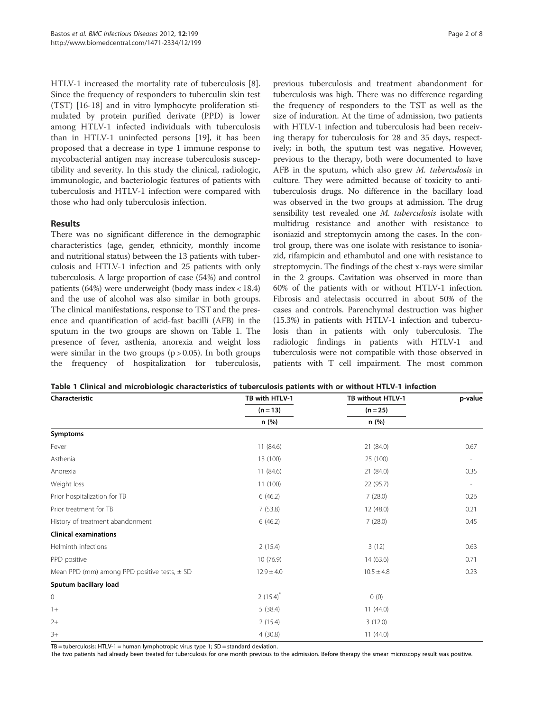HTLV-1 increased the mortality rate of tuberculosis [8]. Since the frequency of responders to tuberculin skin test (TST) [16-18] and in vitro lymphocyte proliferation stimulated by protein purified derivate (PPD) is lower among HTLV-1 infected individuals with tuberculosis than in HTLV-1 uninfected persons [19], it has been proposed that a decrease in type 1 immune response to mycobacterial antigen may increase tuberculosis susceptibility and severity. In this study the clinical, radiologic, immunologic, and bacteriologic features of patients with tuberculosis and HTLV-1 infection were compared with those who had only tuberculosis infection.

## Results

There was no significant difference in the demographic characteristics (age, gender, ethnicity, monthly income and nutritional status) between the 13 patients with tuberculosis and HTLV-1 infection and 25 patients with only tuberculosis. A large proportion of case (54%) and control patients (64%) were underweight (body mass index < 18.4) and the use of alcohol was also similar in both groups. The clinical manifestations, response to TST and the presence and quantification of acid-fast bacilli (AFB) in the sputum in the two groups are shown on Table 1. The presence of fever, asthenia, anorexia and weight loss were similar in the two groups  $(p > 0.05)$ . In both groups the frequency of hospitalization for tuberculosis,

previous tuberculosis and treatment abandonment for tuberculosis was high. There was no difference regarding the frequency of responders to the TST as well as the size of induration. At the time of admission, two patients with HTLV-1 infection and tuberculosis had been receiving therapy for tuberculosis for 28 and 35 days, respectively; in both, the sputum test was negative. However, previous to the therapy, both were documented to have AFB in the sputum, which also grew M. tuberculosis in culture. They were admitted because of toxicity to antituberculosis drugs. No difference in the bacillary load was observed in the two groups at admission. The drug sensibility test revealed one *M. tuberculosis* isolate with multidrug resistance and another with resistance to isoniazid and streptomycin among the cases. In the control group, there was one isolate with resistance to isoniazid, rifampicin and ethambutol and one with resistance to streptomycin. The findings of the chest x-rays were similar in the 2 groups. Cavitation was observed in more than 60% of the patients with or without HTLV-1 infection. Fibrosis and atelectasis occurred in about 50% of the cases and controls. Parenchymal destruction was higher (15.3%) in patients with HTLV-1 infection and tuberculosis than in patients with only tuberculosis. The radiologic findings in patients with HTLV-1 and tuberculosis were not compatible with those observed in patients with T cell impairment. The most common

| Table 1 Clinical and microbiologic characteristics of tuberculosis patients with or without HTLV-1 infection |  |
|--------------------------------------------------------------------------------------------------------------|--|
|--------------------------------------------------------------------------------------------------------------|--|

| Characteristic                                   | TB with HTLV-1 | TB without HTLV-1<br>$(n = 25)$<br>n (%) | p-value |
|--------------------------------------------------|----------------|------------------------------------------|---------|
|                                                  | $(n = 13)$     |                                          |         |
|                                                  | n (%)          |                                          |         |
| <b>Symptoms</b>                                  |                |                                          |         |
| Fever                                            | 11(84.6)       | 21 (84.0)                                | 0.67    |
| Asthenia                                         | 13 (100)       | 25 (100)                                 |         |
| Anorexia                                         | 11(84.6)       | 21 (84.0)                                | 0.35    |
| Weight loss                                      | 11(100)        | 22 (95.7)                                |         |
| Prior hospitalization for TB                     | 6(46.2)        | 7(28.0)                                  | 0.26    |
| Prior treatment for TB                           | 7(53.8)        | 12(48.0)                                 | 0.21    |
| History of treatment abandonment                 | 6(46.2)        | 7(28.0)                                  | 0.45    |
| <b>Clinical examinations</b>                     |                |                                          |         |
| Helminth infections                              | 2(15.4)        | 3(12)                                    | 0.63    |
| PPD positive                                     | 10(76.9)       | 14(63.6)                                 | 0.71    |
| Mean PPD (mm) among PPD positive tests, $\pm$ SD | $12.9 \pm 4.0$ | $10.5 \pm 4.8$                           | 0.23    |
| Sputum bacillary load                            |                |                                          |         |
| $\mathbf 0$                                      | $2(15.4)^{*}$  | 0(0)                                     |         |
| $1+$                                             | 5(38.4)        | 11(44.0)                                 |         |
| $2+$                                             | 2(15.4)        | 3(12.0)                                  |         |
| $3+$                                             | 4(30.8)        | 11(44.0)                                 |         |

 $TB =$  tuberculosis; HTLV-1 = human lymphotropic virus type 1; SD = standard deviation.

The two patients had already been treated for tuberculosis for one month previous to the admission. Before therapy the smear microscopy result was positive.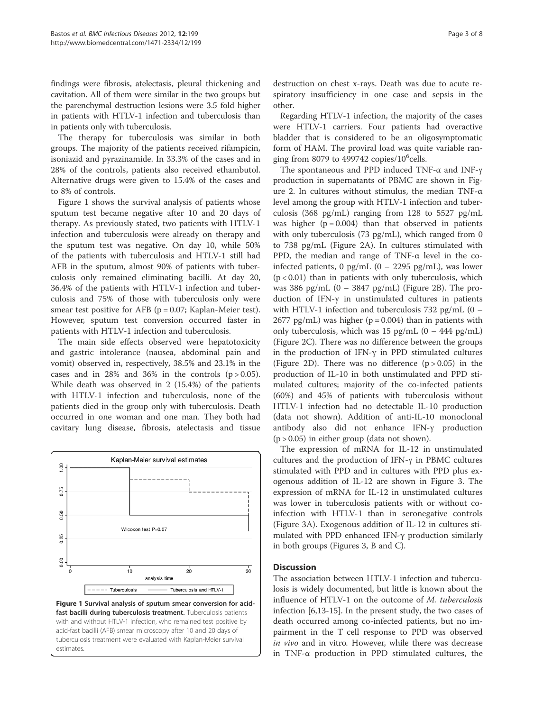findings were fibrosis, atelectasis, pleural thickening and cavitation. All of them were similar in the two groups but the parenchymal destruction lesions were 3.5 fold higher in patients with HTLV-1 infection and tuberculosis than in patients only with tuberculosis.

The therapy for tuberculosis was similar in both groups. The majority of the patients received rifampicin, isoniazid and pyrazinamide. In 33.3% of the cases and in 28% of the controls, patients also received ethambutol. Alternative drugs were given to 15.4% of the cases and to 8% of controls.

Figure 1 shows the survival analysis of patients whose sputum test became negative after 10 and 20 days of therapy. As previously stated, two patients with HTLV-1 infection and tuberculosis were already on therapy and the sputum test was negative. On day 10, while 50% of the patients with tuberculosis and HTLV-1 still had AFB in the sputum, almost 90% of patients with tuberculosis only remained eliminating bacilli. At day 20, 36.4% of the patients with HTLV-1 infection and tuberculosis and 75% of those with tuberculosis only were smear test positive for AFB (p = 0.07; Kaplan-Meier test). However, sputum test conversion occurred faster in patients with HTLV-1 infection and tuberculosis.

The main side effects observed were hepatotoxicity and gastric intolerance (nausea, abdominal pain and vomit) observed in, respectively, 38.5% and 23.1% in the cases and in 28% and 36% in the controls  $(p > 0.05)$ . While death was observed in 2 (15.4%) of the patients with HTLV-1 infection and tuberculosis, none of the patients died in the group only with tuberculosis. Death occurred in one woman and one man. They both had cavitary lung disease, fibrosis, atelectasis and tissue



estimates.

destruction on chest x-rays. Death was due to acute respiratory insufficiency in one case and sepsis in the other.

Regarding HTLV-1 infection, the majority of the cases were HTLV-1 carriers. Four patients had overactive bladder that is considered to be an oligosymptomatic form of HAM. The proviral load was quite variable ranging from 8079 to 499742 copies/ $10^6$ cells.

The spontaneous and PPD induced TNF-α and INF-γ production in supernatants of PBMC are shown in Figure 2. In cultures without stimulus, the median TNF-α level among the group with HTLV-1 infection and tuberculosis (368 pg/mL) ranging from 128 to 5527 pg/mL was higher  $(p = 0.004)$  than that observed in patients with only tuberculosis (73 pg/mL), which ranged from 0 to 738 pg/mL (Figure 2A). In cultures stimulated with PPD, the median and range of TNF-α level in the coinfected patients, 0 pg/mL  $(0 - 2295 \text{ pg/mL})$ , was lower  $(p < 0.01)$  than in patients with only tuberculosis, which was 386 pg/mL  $(0 - 3847 \text{ pg/mL})$  (Figure 2B). The production of IFN-γ in unstimulated cultures in patients with HTLV-1 infection and tuberculosis  $732$  pg/mL  $(0 -$ 2677 pg/mL) was higher ( $p = 0.004$ ) than in patients with only tuberculosis, which was 15 pg/mL  $(0 - 444 \text{ pg/mL})$ (Figure 2C). There was no difference between the groups in the production of IFN-γ in PPD stimulated cultures (Figure 2D). There was no difference  $(p > 0.05)$  in the production of IL-10 in both unstimulated and PPD stimulated cultures; majority of the co-infected patients (60%) and 45% of patients with tuberculosis without HTLV-1 infection had no detectable IL-10 production (data not shown). Addition of anti-IL-10 monoclonal antibody also did not enhance IFN-γ production  $(p > 0.05)$  in either group (data not shown).

The expression of mRNA for IL-12 in unstimulated cultures and the production of IFN-γ in PBMC cultures stimulated with PPD and in cultures with PPD plus exogenous addition of IL-12 are shown in Figure 3. The expression of mRNA for IL-12 in unstimulated cultures was lower in tuberculosis patients with or without coinfection with HTLV-1 than in seronegative controls (Figure 3A). Exogenous addition of IL-12 in cultures stimulated with PPD enhanced IFN-γ production similarly in both groups (Figures 3, B and C).

## **Discussion**

The association between HTLV-1 infection and tuberculosis is widely documented, but little is known about the influence of HTLV-1 on the outcome of M. tuberculosis infection [6,13-15]. In the present study, the two cases of death occurred among co-infected patients, but no impairment in the T cell response to PPD was observed in vivo and in vitro. However, while there was decrease in TNF- $\alpha$  production in PPD stimulated cultures, the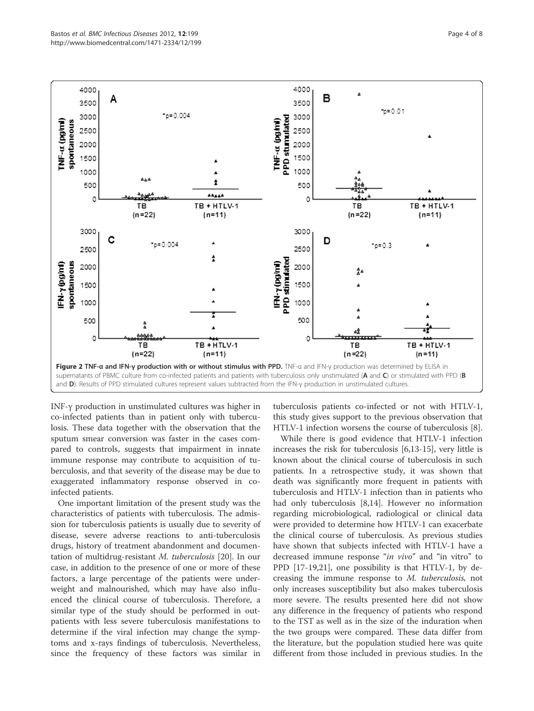

INF-γ production in unstimulated cultures was higher in co-infected patients than in patient only with tuberculosis. These data together with the observation that the sputum smear conversion was faster in the cases compared to controls, suggests that impairment in innate immune response may contribute to acquisition of tuberculosis, and that severity of the disease may be due to exaggerated inflammatory response observed in coinfected patients.

One important limitation of the present study was the characteristics of patients with tuberculosis. The admission for tuberculosis patients is usually due to severity of disease, severe adverse reactions to anti-tuberculosis drugs, history of treatment abandonment and documentation of multidrug-resistant M. tuberculosis [20]. In our case, in addition to the presence of one or more of these factors, a large percentage of the patients were underweight and malnourished, which may have also influenced the clinical course of tuberculosis. Therefore, a similar type of the study should be performed in outpatients with less severe tuberculosis manifestations to determine if the viral infection may change the symptoms and x-rays findings of tuberculosis. Nevertheless, since the frequency of these factors was similar in

tuberculosis patients co-infected or not with HTLV-1, this study gives support to the previous observation that HTLV-1 infection worsens the course of tuberculosis [8].

While there is good evidence that HTLV-1 infection increases the risk for tuberculosis [6,13-15], very little is known about the clinical course of tuberculosis in such patients. In a retrospective study, it was shown that death was significantly more frequent in patients with tuberculosis and HTLV-1 infection than in patients who had only tuberculosis [8,14]. However no information regarding microbiological, radiological or clinical data were provided to determine how HTLV-1 can exacerbate the clinical course of tuberculosis. As previous studies have shown that subjects infected with HTLV-1 have a decreased immune response "*in vivo*" and "in vitro" to PPD [17-19,21], one possibility is that HTLV-1, by decreasing the immune response to M. tuberculosis, not only increases susceptibility but also makes tuberculosis more severe. The results presented here did not show any difference in the frequency of patients who respond to the TST as well as in the size of the induration when the two groups were compared. These data differ from the literature, but the population studied here was quite different from those included in previous studies. In the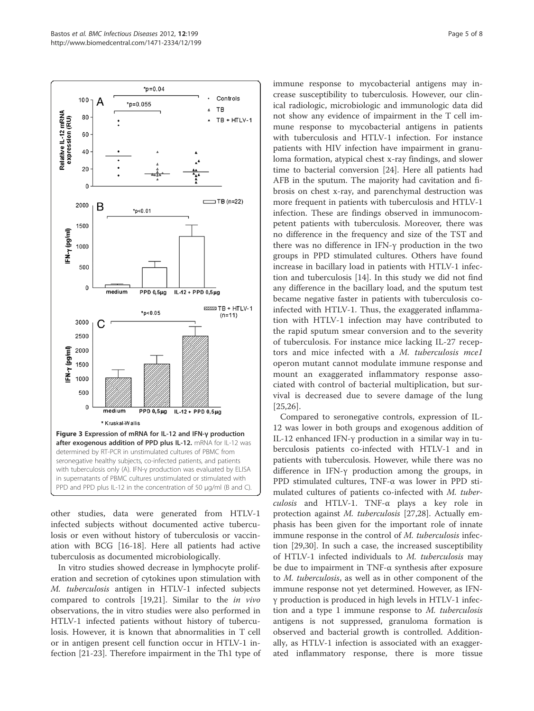

other studies, data were generated from HTLV-1 infected subjects without documented active tuberculosis or even without history of tuberculosis or vaccination with BCG [16-18]. Here all patients had active tuberculosis as documented microbiologically.

In vitro studies showed decrease in lymphocyte proliferation and secretion of cytokines upon stimulation with M. tuberculosis antigen in HTLV-1 infected subjects compared to controls [19,21]. Similar to the in vivo observations, the in vitro studies were also performed in HTLV-1 infected patients without history of tuberculosis. However, it is known that abnormalities in T cell or in antigen present cell function occur in HTLV-1 infection [21-23]. Therefore impairment in the Th1 type of immune response to mycobacterial antigens may increase susceptibility to tuberculosis. However, our clinical radiologic, microbiologic and immunologic data did not show any evidence of impairment in the T cell immune response to mycobacterial antigens in patients with tuberculosis and HTLV-1 infection. For instance patients with HIV infection have impairment in granuloma formation, atypical chest x-ray findings, and slower time to bacterial conversion [24]. Here all patients had AFB in the sputum. The majority had cavitation and fibrosis on chest x-ray, and parenchymal destruction was more frequent in patients with tuberculosis and HTLV-1 infection. These are findings observed in immunocompetent patients with tuberculosis. Moreover, there was no difference in the frequency and size of the TST and there was no difference in IFN-γ production in the two groups in PPD stimulated cultures. Others have found increase in bacillary load in patients with HTLV-1 infection and tuberculosis [14]. In this study we did not find any difference in the bacillary load, and the sputum test became negative faster in patients with tuberculosis coinfected with HTLV-1. Thus, the exaggerated inflammation with HTLV-1 infection may have contributed to the rapid sputum smear conversion and to the severity of tuberculosis. For instance mice lacking IL-27 receptors and mice infected with a M. tuberculosis mce1 operon mutant cannot modulate immune response and mount an exaggerated inflammatory response associated with control of bacterial multiplication, but survival is decreased due to severe damage of the lung [25,26].

Compared to seronegative controls, expression of IL-12 was lower in both groups and exogenous addition of IL-12 enhanced IFN-γ production in a similar way in tuberculosis patients co-infected with HTLV-1 and in patients with tuberculosis. However, while there was no difference in IFN-γ production among the groups, in PPD stimulated cultures, TNF-α was lower in PPD stimulated cultures of patients co-infected with M. tuberculosis and HTLV-1. TNF-α plays a key role in protection against M. tuberculosis [27,28]. Actually emphasis has been given for the important role of innate immune response in the control of M. tuberculosis infection [29,30]. In such a case, the increased susceptibility of HTLV-1 infected individuals to M. tuberculosis may be due to impairment in TNF- $\alpha$  synthesis after exposure to M. tuberculosis, as well as in other component of the immune response not yet determined. However, as IFNγ production is produced in high levels in HTLV-1 infection and a type 1 immune response to M. tuberculosis antigens is not suppressed, granuloma formation is observed and bacterial growth is controlled. Additionally, as HTLV-1 infection is associated with an exaggerated inflammatory response, there is more tissue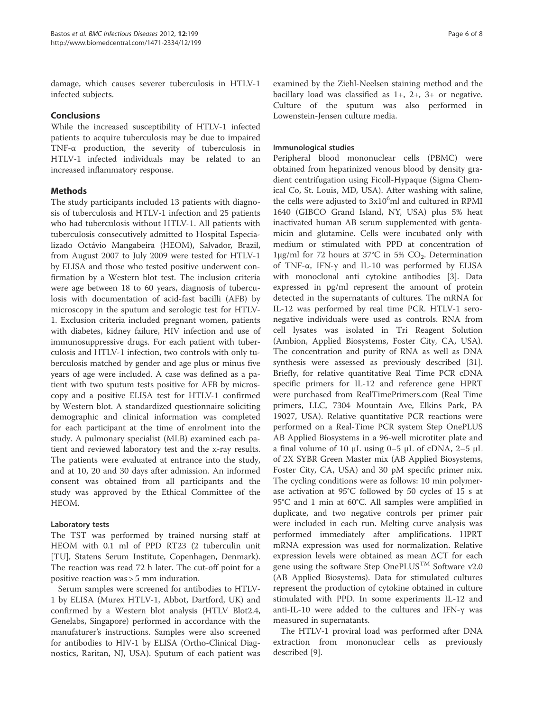damage, which causes severer tuberculosis in HTLV-1 infected subjects.

## Conclusions

While the increased susceptibility of HTLV-1 infected patients to acquire tuberculosis may be due to impaired TNF-α production, the severity of tuberculosis in HTLV-1 infected individuals may be related to an increased inflammatory response.

## Methods

The study participants included 13 patients with diagnosis of tuberculosis and HTLV-1 infection and 25 patients who had tuberculosis without HTLV-1. All patients with tuberculosis consecutively admitted to Hospital Especializado Octávio Mangabeira (HEOM), Salvador, Brazil, from August 2007 to July 2009 were tested for HTLV-1 by ELISA and those who tested positive underwent confirmation by a Western blot test. The inclusion criteria were age between 18 to 60 years, diagnosis of tuberculosis with documentation of acid-fast bacilli (AFB) by microscopy in the sputum and serologic test for HTLV-1. Exclusion criteria included pregnant women, patients with diabetes, kidney failure, HIV infection and use of immunosuppressive drugs. For each patient with tuberculosis and HTLV-1 infection, two controls with only tuberculosis matched by gender and age plus or minus five years of age were included. A case was defined as a patient with two sputum tests positive for AFB by microscopy and a positive ELISA test for HTLV-1 confirmed by Western blot. A standardized questionnaire soliciting demographic and clinical information was completed for each participant at the time of enrolment into the study. A pulmonary specialist (MLB) examined each patient and reviewed laboratory test and the x-ray results. The patients were evaluated at entrance into the study, and at 10, 20 and 30 days after admission. An informed consent was obtained from all participants and the study was approved by the Ethical Committee of the HEOM.

## Laboratory tests

The TST was performed by trained nursing staff at HEOM with 0.1 ml of PPD RT23 (2 tuberculin unit [TU], Statens Serum Institute, Copenhagen, Denmark). The reaction was read 72 h later. The cut-off point for a positive reaction was > 5 mm induration.

Serum samples were screened for antibodies to HTLV-1 by ELISA (Murex HTLV-1, Abbot, Dartford, UK) and confirmed by a Western blot analysis (HTLV Blot2.4, Genelabs, Singapore) performed in accordance with the manufaturer's instructions. Samples were also screened for antibodies to HIV-1 by ELISA (Ortho-Clinical Diagnostics, Raritan, NJ, USA). Sputum of each patient was

examined by the Ziehl-Neelsen staining method and the bacillary load was classified as 1+, 2+, 3+ or negative. Culture of the sputum was also performed in Lowenstein-Jensen culture media.

## Immunological studies

Peripheral blood mononuclear cells (PBMC) were obtained from heparinized venous blood by density gradient centrifugation using Ficoll-Hypaque (Sigma Chemical Co, St. Louis, MD, USA). After washing with saline, the cells were adjusted to 3x10<sup>6</sup>ml and cultured in RPMI 1640 (GIBCO Grand Island, NY, USA) plus 5% heat inactivated human AB serum supplemented with gentamicin and glutamine. Cells were incubated only with medium or stimulated with PPD at concentration of  $1μg/ml$  for 72 hours at 37°C in 5% CO<sub>2</sub>. Determination of TNF-α, IFN-γ and IL-10 was performed by ELISA with monoclonal anti cytokine antibodies [3]. Data expressed in pg/ml represent the amount of protein detected in the supernatants of cultures. The mRNA for IL-12 was performed by real time PCR. HTLV-1 seronegative individuals were used as controls. RNA from cell lysates was isolated in Tri Reagent Solution (Ambion, Applied Biosystems, Foster City, CA, USA). The concentration and purity of RNA as well as DNA synthesis were assessed as previously described [31]. Briefly, for relative quantitative Real Time PCR cDNA specific primers for IL-12 and reference gene HPRT were purchased from RealTimePrimers.com (Real Time primers, LLC, 7304 Mountain Ave, Elkins Park, PA 19027, USA). Relative quantitative PCR reactions were performed on a Real-Time PCR system Step OnePLUS AB Applied Biosystems in a 96-well microtiter plate and a final volume of 10 μL using 0–5 μL of cDNA, 2–5 μL of 2X SYBR Green Master mix (AB Applied Biosystems, Foster City, CA, USA) and 30 pM specific primer mix. The cycling conditions were as follows: 10 min polymerase activation at 95°C followed by 50 cycles of 15 s at 95°C and 1 min at 60°C. All samples were amplified in duplicate, and two negative controls per primer pair were included in each run. Melting curve analysis was performed immediately after amplifications. HPRT mRNA expression was used for normalization. Relative expression levels were obtained as mean ΔCT for each gene using the software Step One $\text{PLUS}^{\text{TM}}$  Software v2.0 (AB Applied Biosystems). Data for stimulated cultures represent the production of cytokine obtained in culture stimulated with PPD. In some experiments IL-12 and anti-IL-10 were added to the cultures and IFN-γ was measured in supernatants.

The HTLV-1 proviral load was performed after DNA extraction from mononuclear cells as previously described [9].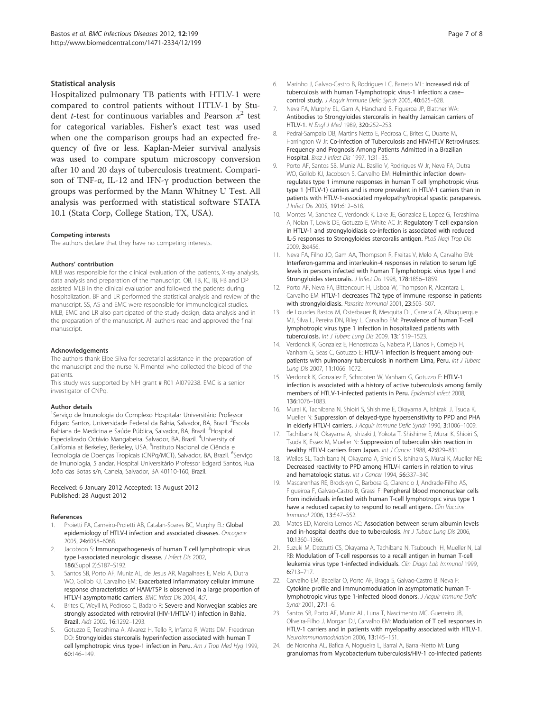#### Statistical analysis

Hospitalized pulmonary TB patients with HTLV-1 were compared to control patients without HTLV-1 by Student *t*-test for continuous variables and Pearson  $x^2$  test for categorical variables. Fisher's exact test was used when one the comparison groups had an expected frequency of five or less. Kaplan-Meier survival analysis was used to compare sputum microscopy conversion after 10 and 20 days of tuberculosis treatment. Comparison of TNF-α, IL-12 and IFN-γ production between the groups was performed by the Mann Whitney U Test. All analysis was performed with statistical software STATA 10.1 (Stata Corp, College Station, TX, USA).

#### Competing interests

The authors declare that they have no competing interests.

#### Authors' contribution

MLB was responsible for the clinical evaluation of the patients, X-ray analysis, data analysis and preparation of the manuscript. OB, TB, IC, IB, FB and DP assisted MLB in the clinical evaluation and followed the patients during hospitalization. BF and LR performed the statistical analysis and review of the manuscript. SS, AS and EMC were responsible for immunological studies. MLB, EMC and LR also participated of the study design, data analysis and in the preparation of the manuscript. All authors read and approved the final manuscript.

#### Acknowledgements

The authors thank Elbe Silva for secretarial assistance in the preparation of the manuscript and the nurse N. Pimentel who collected the blood of the patients.

This study was supported by NIH grant # R01 AI079238. EMC is a senior investigator of CNPq.

#### Author details

1 Serviço de Imunologia do Complexo Hospitalar Universitário Professor Edgard Santos, Universidade Federal da Bahia, Salvador, BA, Brazil. <sup>2</sup>Escola Bahiana de Medicina e Saúde Pública, Salvador, BA, Brazil. <sup>3</sup>Hospital Especializado Octávio Mangabeira, Salvador, BA, Brazil. <sup>4</sup>University of California at Berkeley, Berkeley, USA. <sup>5</sup>Instituto Nacional de Ciência e Tecnologia de Doenças Tropicais (CNPq/MCT), Salvador, BA, Brazil. <sup>6</sup>Serviço de Imunologia, 5 andar, Hospital Universitário Professor Edgard Santos, Rua João das Botas s/n, Canela, Salvador, BA 40110-160, Brazil.

#### Received: 6 January 2012 Accepted: 13 August 2012 Published: 28 August 2012

#### References

- Proietti FA, Carneiro-Proietti AB, Catalan-Soares BC, Murphy EL: Global epidemiology of HTLV-I infection and associated diseases. Oncogene 2005, 24:6058–6068.
- 2. Jacobson S: Immunopathogenesis of human T cell lymphotropic virus type I-associated neurologic disease. J Infect Dis 2002, 186(Suppl 2):S187–S192.
- Santos SB, Porto AF, Muniz AL, de Jesus AR, Magalhaes E, Melo A, Dutra WO, Gollob KJ, Carvalho EM: Exacerbated inflammatory cellular immune response characteristics of HAM/TSP is observed in a large proportion of HTLV-I asymptomatic carriers. BMC Infect Dis 2004, 4:7
- Brites C, Weyll M, Pedroso C, Badaro R: Severe and Norwegian scabies are strongly associated with retroviral (HIV-1/HTLV-1) infection in Bahia, Brazil. Aids 2002, 16:1292–1293.
- 5. Gotuzzo E, Terashima A, Alvarez H, Tello R, Infante R, Watts DM, Freedman DO: Strongyloides stercoralis hyperinfection associated with human T cell lymphotropic virus type-1 infection in Peru. Am J Trop Med Hyg 1999, 60:146–149.
- 6. Marinho J, Galvao-Castro B, Rodrigues LC, Barreto ML: Increased risk of tuberculosis with human T-lymphotropic virus-1 infection: a case– control study. J Acquir Immune Defic Syndr 2005, 40:625–628.
- 7. Neva FA, Murphy EL, Gam A, Hanchard B, Figueroa JP, Blattner WA: Antibodies to Strongyloides stercoralis in healthy Jamaican carriers of HTLV-1. N Engl J Med 1989, 320:252–253.
- 8. Pedral-Sampaio DB, Martins Netto E, Pedrosa C, Brites C, Duarte M, Harrington W Jr: Co-Infection of Tuberculosis and HIV/HTLV Retroviruses: Frequency and Prognosis Among Patients Admitted in a Brazilian Hospital. Braz J Infect Dis 1997, 1:31–35.
- 9. Porto AF, Santos SB, Muniz AL, Basilio V, Rodrigues W Jr, Neva FA, Dutra WO, Gollob KJ, Jacobson S, Carvalho EM: Helminthic infection downregulates type 1 immune responses in human T cell lymphotropic virus type 1 (HTLV-1) carriers and is more prevalent in HTLV-1 carriers than in patients with HTLV-1-associated myelopathy/tropical spastic paraparesis. J Infect Dis 2005, 191:612–618.
- 10. Montes M, Sanchez C, Verdonck K, Lake JE, Gonzalez E, Lopez G, Terashima A, Nolan T, Lewis DE, Gotuzzo E, White AC Jr: Regulatory T cell expansion in HTLV-1 and strongyloidiasis co-infection is associated with reduced IL-5 responses to Strongyloides stercoralis antigen. PLoS Negl Trop Dis 2009, 3:e456.
- 11. Neva FA, Filho JO, Gam AA, Thompson R, Freitas V, Melo A, Carvalho EM: Interferon-gamma and interleukin-4 responses in relation to serum IgE levels in persons infected with human T lymphotropic virus type I and Strongyloides stercoralis. J Infect Dis 1998, 178:1856-1859.
- 12. Porto AF, Neva FA, Bittencourt H, Lisboa W, Thompson R, Alcantara L, Carvalho EM: HTLV-1 decreases Th2 type of immune response in patients with strongyloidiasis. Parasite Immunol 2001, 23:503–507.
- 13. de Lourdes Bastos M, Osterbauer B, Mesquita DL, Carrera CA, Albuquerque MJ, Silva L, Pereira DN, Riley L, Carvalho EM: Prevalence of human T-cell lymphotropic virus type 1 infection in hospitalized patients with tuberculosis. Int J Tuberc Lung Dis 2009, 13:1519–1523.
- 14. Verdonck K, Gonzalez E, Henostroza G, Nabeta P, Llanos F, Cornejo H, Vanham G, Seas C, Gotuzzo E: HTLV-1 infection is frequent among outpatients with pulmonary tuberculosis in northern Lima, Peru. Int J Tuberc Lung Dis 2007, 11:1066–1072.
- 15. Verdonck K, Gonzalez E, Schrooten W, Vanham G, Gotuzzo E: HTLV-1 infection is associated with a history of active tuberculosis among family members of HTLV-1-infected patients in Peru. Epidemiol Infect 2008, 136:1076–1083.
- 16. Murai K, Tachibana N, Shioiri S, Shishime E, Okayama A, Ishizaki J, Tsuda K, Mueller N: Suppression of delayed-type hypersensitivity to PPD and PHA in elderly HTLV-I carriers. J Acquir Immune Defic Syndr 1990, 3:1006–1009.
- 17. Tachibana N, Okayama A, Ishizaki J, Yokota T, Shishime E, Murai K, Shioiri S, Tsuda K, Essex M, Mueller N: Suppression of tuberculin skin reaction in healthy HTLV-I carriers from Japan. Int J Cancer 1988, 42:829-831.
- 18. Welles SL, Tachibana N, Okayama A, Shioiri S, Ishihara S, Murai K, Mueller NE: Decreased reactivity to PPD among HTLV-I carriers in relation to virus and hematologic status. Int J Cancer 1994, 56:337-340.
- 19. Mascarenhas RE, Brodskyn C, Barbosa G, Clarencio J, Andrade-Filho AS, Figueiroa F, Galvao-Castro B, Grassi F: Peripheral blood mononuclear cells from individuals infected with human T-cell lymphotropic virus type 1 have a reduced capacity to respond to recall antigens. Clin Vaccine Immunol 2006, 13:547–552.
- 20. Matos ED, Moreira Lemos AC: Association between serum albumin levels and in-hospital deaths due to tuberculosis. Int J Tuberc Lung Dis 2006, 10:1360–1366.
- 21. Suzuki M, Dezzutti CS, Okayama A, Tachibana N, Tsubouchi H, Mueller N, Lal RB: Modulation of T-cell responses to a recall antigen in human T-cell leukemia virus type 1-infected individuals. Clin Diagn Lab Immunol 1999, 6:713–717.
- 22. Carvalho EM, Bacellar O, Porto AF, Braga S, Galvao-Castro B, Neva F: Cytokine profile and immunomodulation in asymptomatic human Tlymphotropic virus type 1-infected blood donors. J Acquir Immune Defic Syndr 2001, 27:1–6.
- 23. Santos SB, Porto AF, Muniz AL, Luna T, Nascimento MC, Guerreiro JB, Oliveira-Filho J, Morgan DJ, Carvalho EM: Modulation of T cell responses in HTLV-1 carriers and in patients with myelopathy associated with HTLV-1. Neuroimmunomodulation 2006, 13:145–151.
- 24. de Noronha AL, Bafica A, Nogueira L, Barral A, Barral-Netto M: Lung granulomas from Mycobacterium tuberculosis/HIV-1 co-infected patients